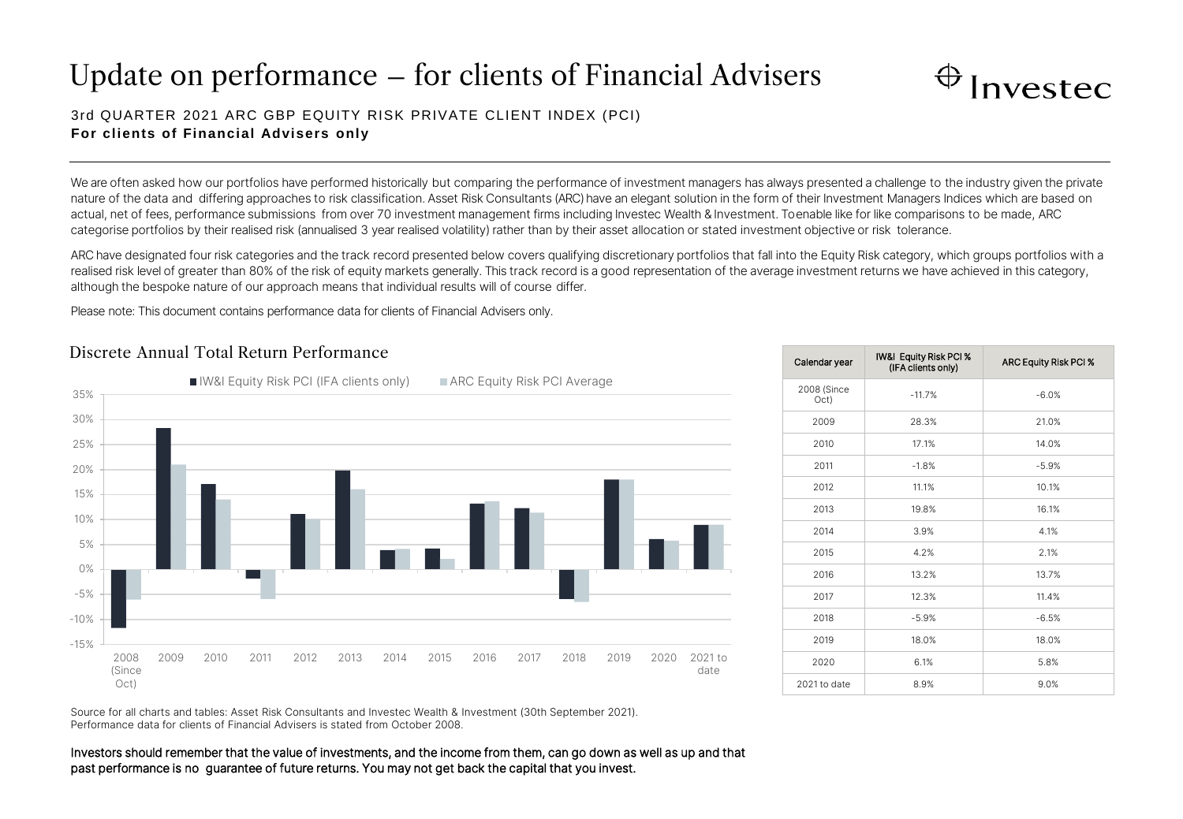# Update on performance – for clients of Financial Advisers



## 3rd QUARTER 2021 ARC GBP EQUITY RISK PRIVATE CLIENT INDEX (PCI) **For clients of Financial Advisers only**

We are often asked how our portfolios have performed historically but comparing the performance of investment managers has always presented a challenge to the industry given the private nature of the data and differing approaches to risk classification. Asset Risk Consultants (ARC) have an elegant solution in the form of their Investment Managers Indices which are based on actual, net of fees, performance submissions from over 70 investment management firms including Investec Wealth & Investment. To enable like for like comparisons to be made, ARC categorise portfolios by their realised risk (annualised 3 year realised volatility) rather than by their asset allocation or stated investment objective or risk tolerance.

ARC have designated four risk categories and the track record presented below covers qualifying discretionary portfolios that fall into the Equity Risk category, which groups portfolios with a realised risk level of greater than 80% of the risk of equity markets generally. This track record is a good representation of the average investment returns we have achieved in this category, although the bespoke nature of our approach means that individual results will of course differ.

Please note: This document contains performance data for clients of Financial Advisers only.

## Discrete Annual Total Return Performance



| Calendar year       | IW&I Equity Risk PCI %<br>(IFA clients only) | ARC Equity Risk PCI % |
|---------------------|----------------------------------------------|-----------------------|
| 2008 (Since<br>Oct) | $-11.7%$                                     | $-6.0%$               |
| 2009                | 28.3%                                        | 21.0%                 |
| 2010                | 17.1%                                        | 14.0%                 |
| 2011                | $-1.8%$                                      | $-5.9%$               |
| 2012                | 11.1%                                        | 10.1%                 |
| 2013                | 19.8%                                        | 16.1%                 |
| 2014                | 3.9%                                         | 4.1%                  |
| 2015                | 4.2%                                         | 2.1%                  |
| 2016                | 13.2%                                        | 13.7%                 |
| 2017                | 12.3%                                        | 11.4%                 |
| 2018                | $-5.9%$                                      | $-6.5%$               |
| 2019                | 18.0%                                        | 18.0%                 |
| 2020                | 6.1%                                         | 5.8%                  |
| 2021 to date        | 8.9%                                         | 9.0%                  |

Source for all charts and tables: Asset Risk Consultants and Investec Wealth & Investment (30th September 2021). Performance data for clients of Financial Advisers is stated from October 2008.

Investors should remember that the value of investments, and the income from them, can go down as well as up and that past performance is no guarantee of future returns. You may not get back the capital that you invest.